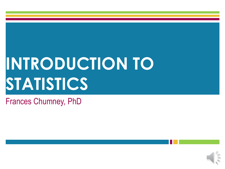# **INTRODUCTION TO STATISTICS**

#### Frances Chumney, PhD

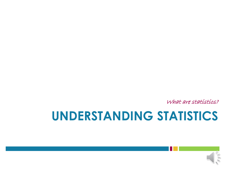What are statistics?

### **UNDERSTANDING STATISTICS**

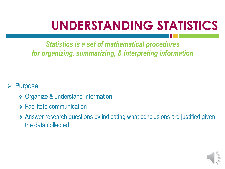## **UNDERSTANDING STATISTICS**

*Statistics is a set of mathematical procedures for organizing, summarizing, & interpreting information*

#### Purpose

- **❖ Organize & understand information**
- **❖ Facilitate communication**
- Answer research questions by indicating what conclusions are justified given the data collected

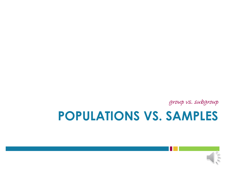

# **POPULATIONS VS. SAMPLES**

group vs. subgroup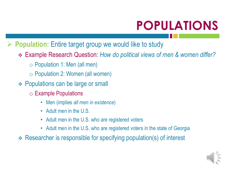# **POPULATIONS**

- **Population:** Entire target group we would like to study
	- Example Research Question: *How do political views of men & women differ?*
		- o Population 1: Men (all men)
		- o Population 2: Women (all women)
	- **❖ Populations can be large or small** 
		- o Example Populations
			- Men (implies *all men in existence*)
			- Adult men in the U.S.
			- Adult men in the U.S. who are registered voters
			- Adult men in the U.S. who are registered voters in the state of Georgia
	- Researcher is responsible for specifying population(s) of interest

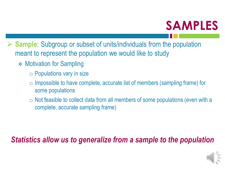### **SAMPLES**

- **Sample:** Subgroup or subset of units/individuals from the population meant to represent the population we would like to study
	- **❖ Motivation for Sampling** 
		- $\circ$  Populations vary in size
		- o Impossible to have complete, accurate list of members (sampling frame) for some populations
		- $\circ$  Not feasible to collect data from all members of some populations (even with a complete, accurate sampling frame)

#### *Statistics allow us to generalize from a sample to the population*

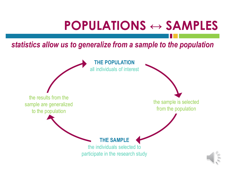### **POPULATIONS ↔ SAMPLES**

*statistics allow us to generalize from a sample to the population*

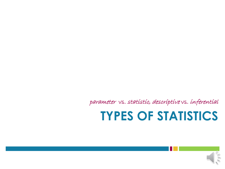parameter vs. statistic, descriptive vs. inferential

### **TYPES OF STATISTICS**

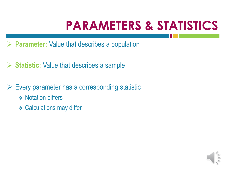# **PARAMETERS & STATISTICS**

- **Parameter:** Value that describes a population
- **Statistic:** Value that describes a sample
- $\triangleright$  Every parameter has a corresponding statistic
	- **❖ Notation differs**
	- **❖ Calculations may differ**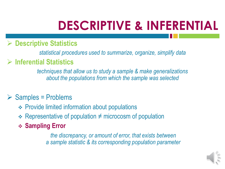# **DESCRIPTIVE & INFERENTIAL**

#### **Descriptive Statistics**

*statistical procedures used to summarize, organize, simplify data*

#### **Inferential Statistics**

*techniques that allow us to study a sample & make generalizations about the populations from which the sample was selected*

#### $\triangleright$  Samples = Problems

- Provide limited information about populations
- $\div$  Representative of population ≠ microcosm of population
- **Sampling Error**

*the discrepancy, or amount of error, that exists between a sample statistic & its corresponding population parameter*

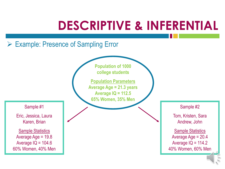### **DESCRIPTIVE & INFERENTIAL**

#### Example: Presence of Sampling Error

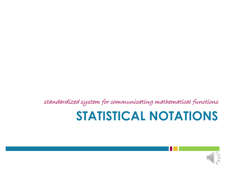standardized system for communicating mathematical functions

### **STATISTICAL NOTATIONS**

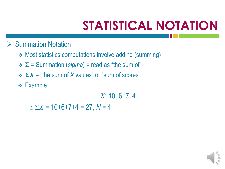#### $\triangleright$  Summation Notation

- ◆ Most statistics computations involve adding (summing)
- **Σ** = Summation (*sigma*) = read as "the sum of"
- **Σ***X* = "the sum of *X* values" or "sum of scores"
- **← Example**

*X*: 10, 6, 7, 4

 $\sum X = 10+6+7+4 = 27$ ,  $N = 4$ 

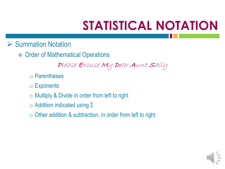- $\triangleright$  Summation Notation
	- **❖ Order of Mathematical Operations**

Please Excuse My Dear Aunt Sally

- o Parentheses
- o Exponents
- $\circ$  Multiply & Divide in order from left to right
- o Addition indicated using Σ
- $\circ$  Other addition & subtraction, in order from left to right

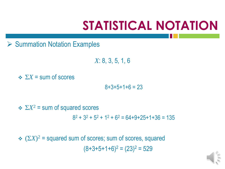$\triangleright$  Summation Notation Examples

*X*: 8, 3, 5, 1, 6

 $\therefore$   $\Sigma X$  = sum of scores

 $8+3+5+1+6 = 23$ 

 $\div$   $\Sigma X^2$  = sum of squared scores  $8^2 + 3^2 + 5^2 + 1^2 + 6^2 = 64 + 9 + 25 + 1 + 36 = 135$ 

 $\div$   $(\Sigma X)^2$  = squared sum of scores; sum of scores, squared  $(8+3+5+1+6)^2 = (23)^2 = 529$ 

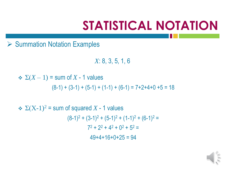$\triangleright$  Summation Notation Examples

*X*: 8, 3, 5, 1, 6

 $\div \Sigma(X-1)$  = sum of X - 1 values  $(8-1) + (3-1) + (5-1) + (1-1) + (6-1) = 7+2+4+0+5 = 18$ 

 $\div \Sigma (X-1)^2$  = sum of squared X - 1 values  $(8-1)^2 + (3-1)^2 + (5-1)^2 + (1-1)^2 + (6-1)^2 =$  $7^2 + 2^2 + 4^2 + 0^2 + 5^2 =$  $49+4+16+0+25 = 94$